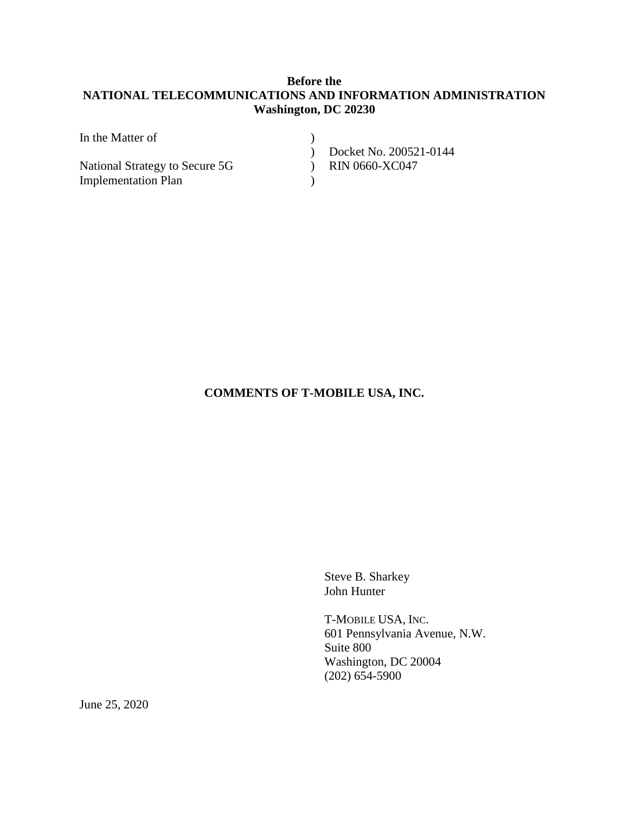# **Before the NATIONAL TELECOMMUNICATIONS AND INFORMATION ADMINISTRATION Washington, DC 20230**

| In the Matter of               |                        |
|--------------------------------|------------------------|
|                                | Docket No. 200521-0144 |
| National Strategy to Secure 5G | $)$ RIN 0660-XC047     |
| <b>Implementation Plan</b>     |                        |

## **COMMENTS OF T-MOBILE USA, INC.**

Steve B. Sharkey John Hunter

T-MOBILE USA, INC. 601 Pennsylvania Avenue, N.W. Suite 800 Washington, DC 20004 (202) 654-5900

June 25, 2020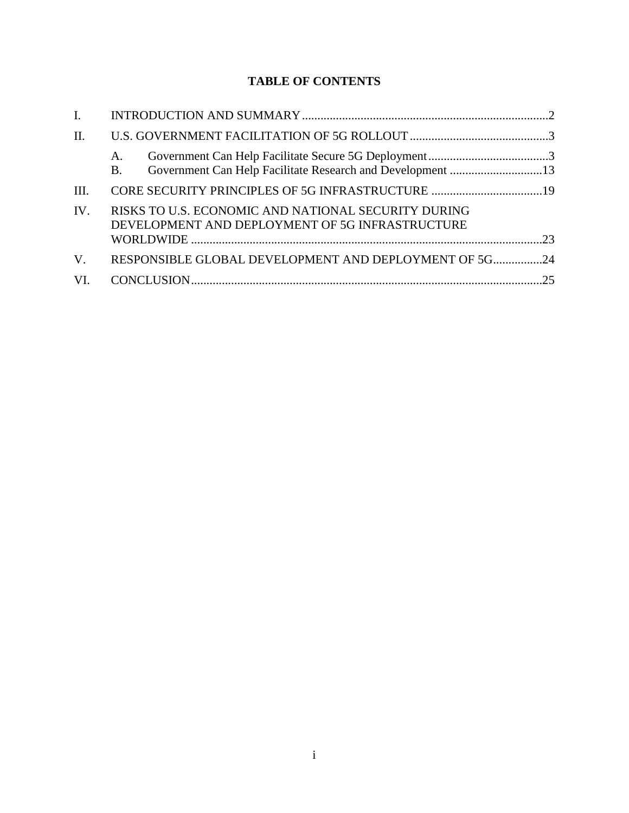# **TABLE OF CONTENTS**

| A.<br><b>B.</b> |                                                                                                                                                                 |
|-----------------|-----------------------------------------------------------------------------------------------------------------------------------------------------------------|
|                 |                                                                                                                                                                 |
|                 |                                                                                                                                                                 |
|                 |                                                                                                                                                                 |
|                 |                                                                                                                                                                 |
|                 |                                                                                                                                                                 |
|                 | RISKS TO U.S. ECONOMIC AND NATIONAL SECURITY DURING<br>DEVELOPMENT AND DEPLOYMENT OF 5G INFRASTRUCTURE<br>RESPONSIBLE GLOBAL DEVELOPMENT AND DEPLOYMENT OF 5G24 |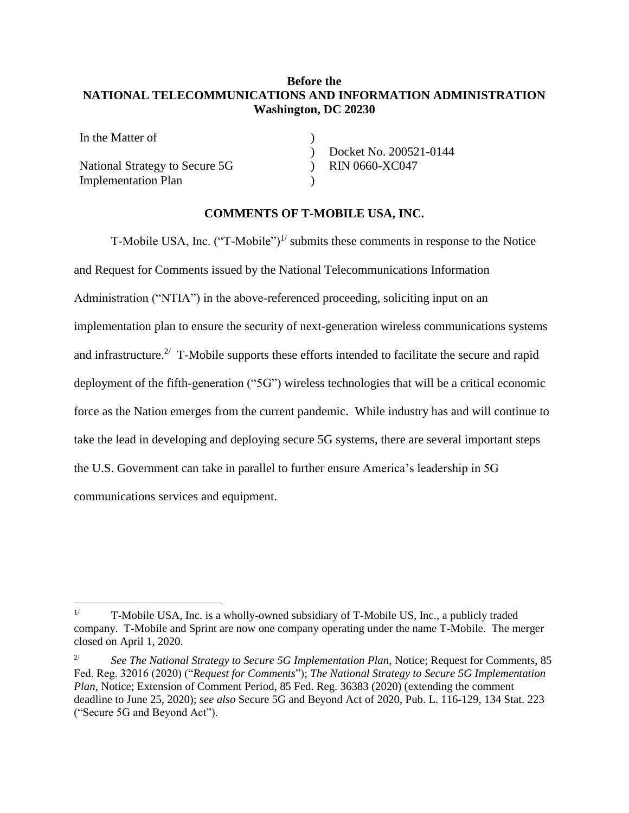## **Before the NATIONAL TELECOMMUNICATIONS AND INFORMATION ADMINISTRATION Washington, DC 20230**

)  $\mathcal{L}$  $\mathcal{L}$  $\lambda$ 

In the Matter of National Strategy to Secure 5G Implementation Plan

 $\overline{a}$ 

Docket No. 200521-0144 RIN 0660-XC047

#### **COMMENTS OF T-MOBILE USA, INC.**

T-Mobile USA, Inc.  $("T-Mobile")^{1/}$  submits these comments in response to the Notice and Request for Comments issued by the National Telecommunications Information Administration ("NTIA") in the above-referenced proceeding, soliciting input on an implementation plan to ensure the security of next-generation wireless communications systems and infrastructure.<sup>2/</sup> T-Mobile supports these efforts intended to facilitate the secure and rapid deployment of the fifth-generation ("5G") wireless technologies that will be a critical economic force as the Nation emerges from the current pandemic. While industry has and will continue to take the lead in developing and deploying secure 5G systems, there are several important steps the U.S. Government can take in parallel to further ensure America's leadership in 5G communications services and equipment.

<sup>&</sup>lt;sup>1/</sup> T-Mobile USA, Inc. is a wholly-owned subsidiary of T-Mobile US, Inc., a publicly traded company. T-Mobile and Sprint are now one company operating under the name T-Mobile. The merger closed on April 1, 2020.

<sup>&</sup>lt;sup>2/</sup> *See The National Strategy to Secure 5G Implementation Plan, Notice; Request for Comments, 85* Fed. Reg. 32016 (2020) ("*Request for Comments*"); *The National Strategy to Secure 5G Implementation Plan*, Notice; Extension of Comment Period, 85 Fed. Reg. 36383 (2020) (extending the comment deadline to June 25, 2020); *see also* Secure 5G and Beyond Act of 2020, Pub. L. 116-129, 134 Stat. 223 ("Secure 5G and Beyond Act").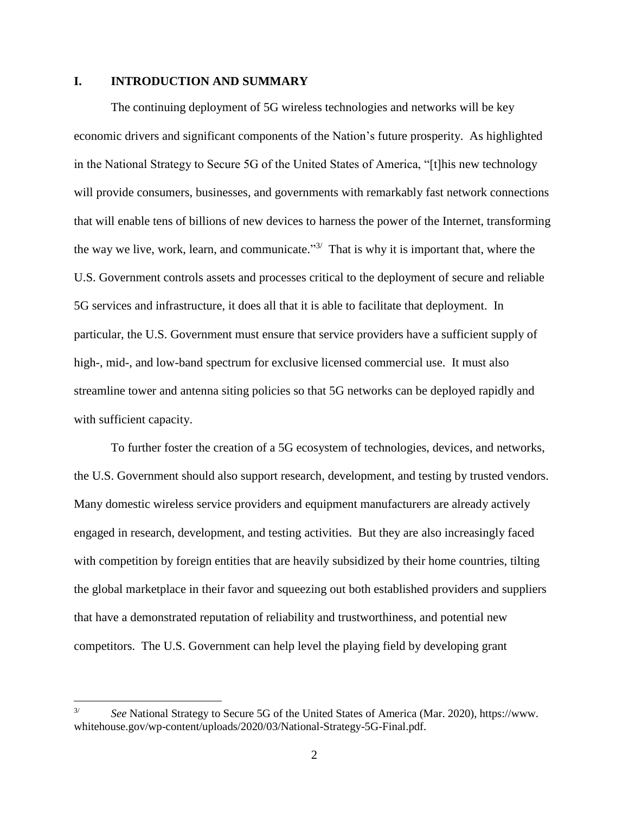## <span id="page-3-0"></span>**I. INTRODUCTION AND SUMMARY**

The continuing deployment of 5G wireless technologies and networks will be key economic drivers and significant components of the Nation's future prosperity. As highlighted in the National Strategy to Secure 5G of the United States of America, "[t]his new technology will provide consumers, businesses, and governments with remarkably fast network connections that will enable tens of billions of new devices to harness the power of the Internet, transforming the way we live, work, learn, and communicate." $3/$  That is why it is important that, where the U.S. Government controls assets and processes critical to the deployment of secure and reliable 5G services and infrastructure, it does all that it is able to facilitate that deployment. In particular, the U.S. Government must ensure that service providers have a sufficient supply of high-, mid-, and low-band spectrum for exclusive licensed commercial use. It must also streamline tower and antenna siting policies so that 5G networks can be deployed rapidly and with sufficient capacity.

To further foster the creation of a 5G ecosystem of technologies, devices, and networks, the U.S. Government should also support research, development, and testing by trusted vendors. Many domestic wireless service providers and equipment manufacturers are already actively engaged in research, development, and testing activities. But they are also increasingly faced with competition by foreign entities that are heavily subsidized by their home countries, tilting the global marketplace in their favor and squeezing out both established providers and suppliers that have a demonstrated reputation of reliability and trustworthiness, and potential new competitors. The U.S. Government can help level the playing field by developing grant

<sup>3/</sup> *See* National Strategy to Secure 5G of the United States of America (Mar. 2020), https://www. whitehouse.gov/wp-content/uploads/2020/03/National-Strategy-5G-Final.pdf.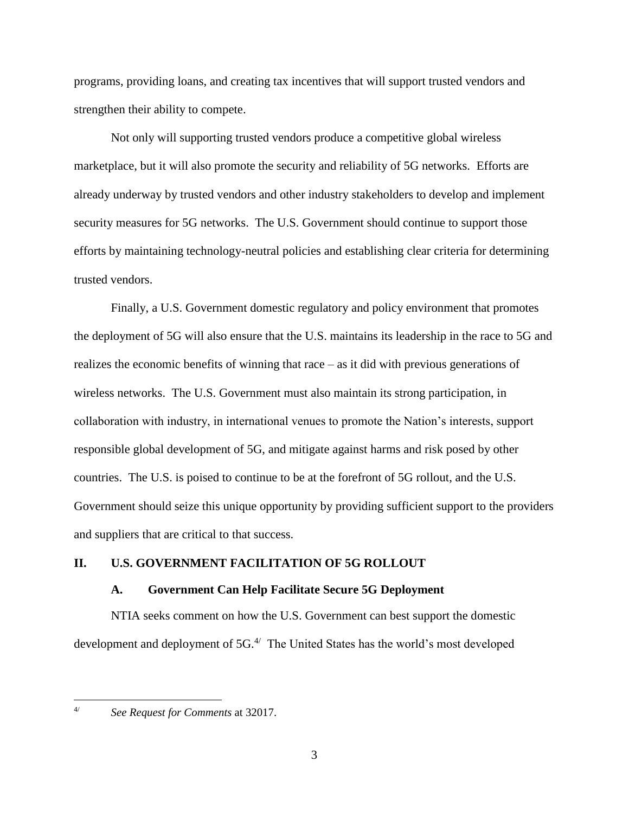programs, providing loans, and creating tax incentives that will support trusted vendors and strengthen their ability to compete.

Not only will supporting trusted vendors produce a competitive global wireless marketplace, but it will also promote the security and reliability of 5G networks. Efforts are already underway by trusted vendors and other industry stakeholders to develop and implement security measures for 5G networks. The U.S. Government should continue to support those efforts by maintaining technology-neutral policies and establishing clear criteria for determining trusted vendors.

Finally, a U.S. Government domestic regulatory and policy environment that promotes the deployment of 5G will also ensure that the U.S. maintains its leadership in the race to 5G and realizes the economic benefits of winning that race – as it did with previous generations of wireless networks. The U.S. Government must also maintain its strong participation, in collaboration with industry, in international venues to promote the Nation's interests, support responsible global development of 5G, and mitigate against harms and risk posed by other countries. The U.S. is poised to continue to be at the forefront of 5G rollout, and the U.S. Government should seize this unique opportunity by providing sufficient support to the providers and suppliers that are critical to that success.

## <span id="page-4-1"></span><span id="page-4-0"></span>**II. U.S. GOVERNMENT FACILITATION OF 5G ROLLOUT**

#### **A. Government Can Help Facilitate Secure 5G Deployment**

NTIA seeks comment on how the U.S. Government can best support the domestic development and deployment of 5G.<sup>4/</sup> The United States has the world's most developed

<sup>4/</sup> *See Request for Comments* at 32017.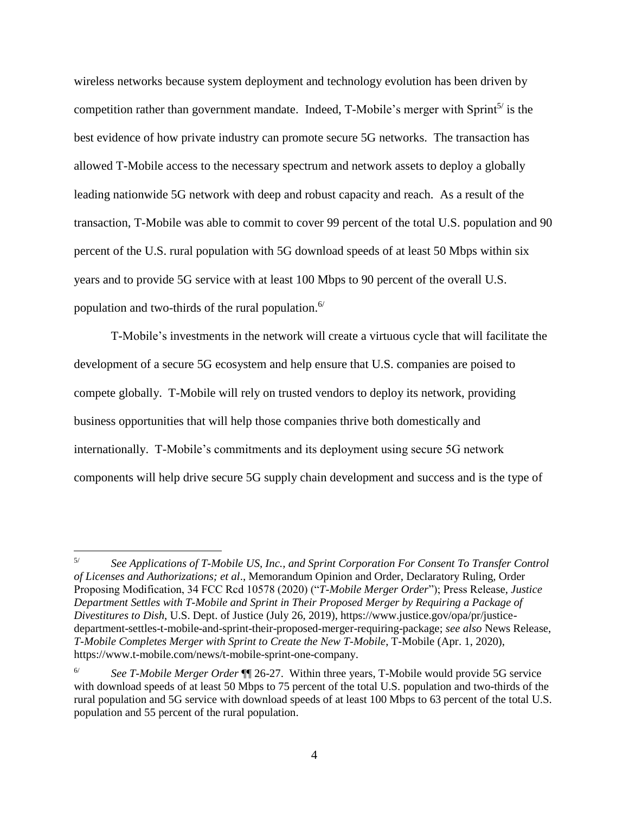wireless networks because system deployment and technology evolution has been driven by competition rather than government mandate. Indeed, T-Mobile's merger with Sprint<sup>5/</sup> is the best evidence of how private industry can promote secure 5G networks. The transaction has allowed T-Mobile access to the necessary spectrum and network assets to deploy a globally leading nationwide 5G network with deep and robust capacity and reach. As a result of the transaction, T-Mobile was able to commit to cover 99 percent of the total U.S. population and 90 percent of the U.S. rural population with 5G download speeds of at least 50 Mbps within six years and to provide 5G service with at least 100 Mbps to 90 percent of the overall U.S. population and two-thirds of the rural population. 6/

T-Mobile's investments in the network will create a virtuous cycle that will facilitate the development of a secure 5G ecosystem and help ensure that U.S. companies are poised to compete globally. T-Mobile will rely on trusted vendors to deploy its network, providing business opportunities that will help those companies thrive both domestically and internationally. T-Mobile's commitments and its deployment using secure 5G network components will help drive secure 5G supply chain development and success and is the type of

<sup>5/</sup> *See Applications of T-Mobile US, Inc., and Sprint Corporation For Consent To Transfer Control of Licenses and Authorizations; et al*., Memorandum Opinion and Order, Declaratory Ruling, Order Proposing Modification, 34 FCC Rcd 10578 (2020) ("*T-Mobile Merger Order*"); Press Release, *Justice Department Settles with T-Mobile and Sprint in Their Proposed Merger by Requiring a Package of Divestitures to Dish*, U.S. Dept. of Justice (July 26, 2019), https://www.justice.gov/opa/pr/justicedepartment-settles-t-mobile-and-sprint-their-proposed-merger-requiring-package; *see also* News Release, *T-Mobile Completes Merger with Sprint to Create the New T-Mobile*, T-Mobile (Apr. 1, 2020), https://www.t-mobile.com/news/t-mobile-sprint-one-company.

<sup>6/</sup> *See T-Mobile Merger Order* ¶¶ 26-27. Within three years, T-Mobile would provide 5G service with download speeds of at least 50 Mbps to 75 percent of the total U.S. population and two-thirds of the rural population and 5G service with download speeds of at least 100 Mbps to 63 percent of the total U.S. population and 55 percent of the rural population.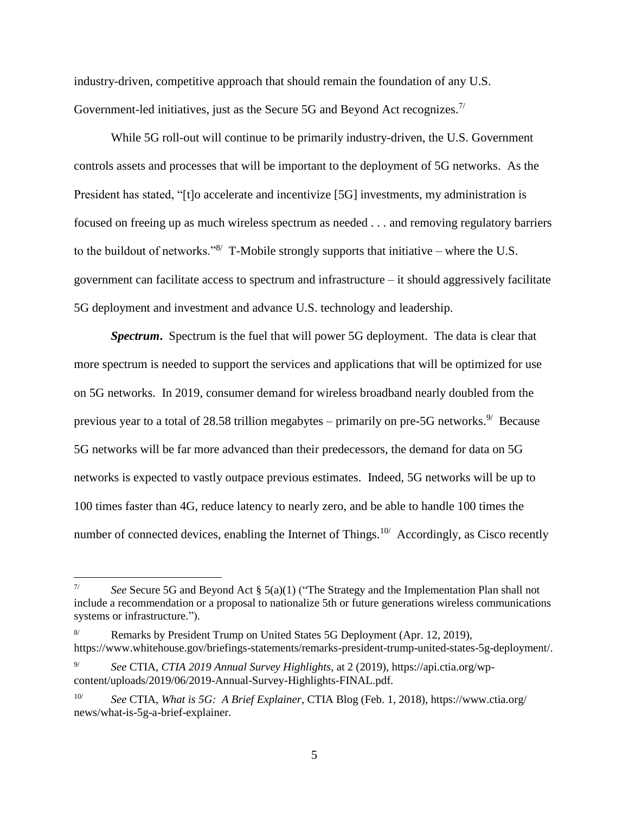industry-driven, competitive approach that should remain the foundation of any U.S. Government-led initiatives, just as the Secure 5G and Beyond Act recognizes.<sup>7/</sup>

While 5G roll-out will continue to be primarily industry-driven, the U.S. Government controls assets and processes that will be important to the deployment of 5G networks. As the President has stated, "[t]o accelerate and incentivize [5G] investments, my administration is focused on freeing up as much wireless spectrum as needed . . . and removing regulatory barriers to the buildout of networks." $8'$  T-Mobile strongly supports that initiative – where the U.S. government can facilitate access to spectrum and infrastructure – it should aggressively facilitate 5G deployment and investment and advance U.S. technology and leadership.

*Spectrum***.** Spectrum is the fuel that will power 5G deployment. The data is clear that more spectrum is needed to support the services and applications that will be optimized for use on 5G networks. In 2019, consumer demand for wireless broadband nearly doubled from the previous year to a total of 28.58 trillion megabytes – primarily on pre-5G networks.<sup>9/</sup> Because 5G networks will be far more advanced than their predecessors, the demand for data on 5G networks is expected to vastly outpace previous estimates. Indeed, 5G networks will be up to 100 times faster than 4G, reduce latency to nearly zero, and be able to handle 100 times the number of connected devices, enabling the Internet of Things.<sup>10/</sup> Accordingly, as Cisco recently

<sup>7/</sup> *See* Secure 5G and Beyond Act § 5(a)(1) ("The Strategy and the Implementation Plan shall not include a recommendation or a proposal to nationalize 5th or future generations wireless communications systems or infrastructure.").

Remarks by President Trump on United States 5G Deployment (Apr. 12, 2019), https://www.whitehouse.gov/briefings-statements/remarks-president-trump-united-states-5g-deployment/.

<sup>9/</sup> *See* CTIA, *CTIA 2019 Annual Survey Highlights*, at 2 (2019), https://api.ctia.org/wpcontent/uploads/2019/06/2019-Annual-Survey-Highlights-FINAL.pdf.

<sup>10/</sup> *See* CTIA, *What is 5G: A Brief Explainer*, CTIA Blog (Feb. 1, 2018), https://www.ctia.org/ news/what-is-5g-a-brief-explainer.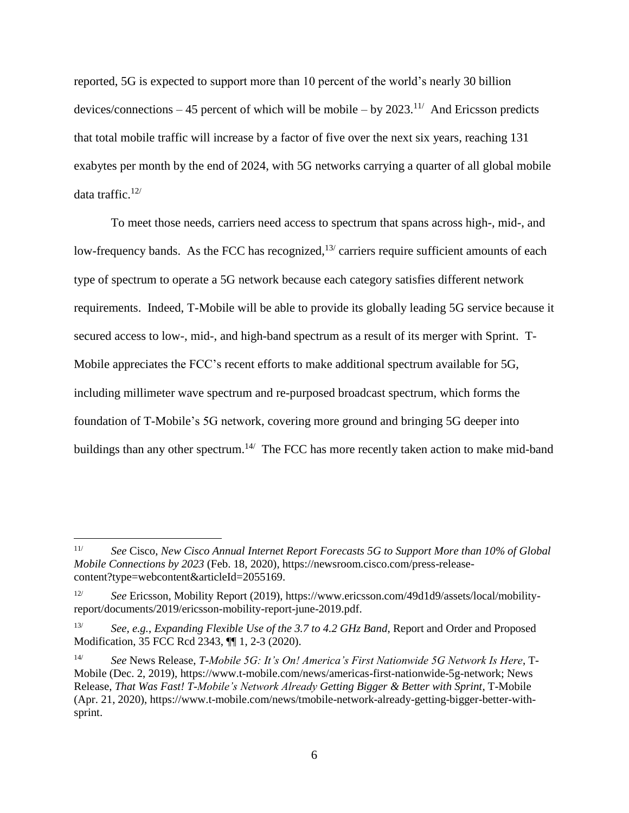reported, 5G is expected to support more than 10 percent of the world's nearly 30 billion devices/connections  $-45$  percent of which will be mobile  $-$  by 2023.<sup>11/</sup> And Ericsson predicts that total mobile traffic will increase by a factor of five over the next six years, reaching 131 exabytes per month by the end of 2024, with 5G networks carrying a quarter of all global mobile data traffic. $12/$ 

To meet those needs, carriers need access to spectrum that spans across high-, mid-, and low-frequency bands. As the FCC has recognized,  $13/$  carriers require sufficient amounts of each type of spectrum to operate a 5G network because each category satisfies different network requirements. Indeed, T-Mobile will be able to provide its globally leading 5G service because it secured access to low-, mid-, and high-band spectrum as a result of its merger with Sprint. T-Mobile appreciates the FCC's recent efforts to make additional spectrum available for 5G, including millimeter wave spectrum and re-purposed broadcast spectrum, which forms the foundation of T-Mobile's 5G network, covering more ground and bringing 5G deeper into buildings than any other spectrum.<sup>14/</sup> The FCC has more recently taken action to make mid-band

<sup>11/</sup> *See* Cisco, *New Cisco Annual Internet Report Forecasts 5G to Support More than 10% of Global Mobile Connections by 2023* (Feb. 18, 2020), https://newsroom.cisco.com/press-releasecontent?type=webcontent&articleId=2055169.

<sup>12/</sup> *See* Ericsson, Mobility Report (2019), https://www.ericsson.com/49d1d9/assets/local/mobilityreport/documents/2019/ericsson-mobility-report-june-2019.pdf.

<sup>13/</sup> *See, e.g.*, *Expanding Flexible Use of the 3.7 to 4.2 GHz Band*, Report and Order and Proposed Modification, 35 FCC Rcd 2343, ¶¶ 1, 2-3 (2020).

<sup>14/</sup> *See* News Release, *T-Mobile 5G: It's On! America's First Nationwide 5G Network Is Here*, T-Mobile (Dec. 2, 2019), https://www.t-mobile.com/news/americas-first-nationwide-5g-network; News Release, *That Was Fast! T-Mobile's Network Already Getting Bigger & Better with Sprint*, T-Mobile (Apr. 21, 2020), https://www.t-mobile.com/news/tmobile-network-already-getting-bigger-better-withsprint.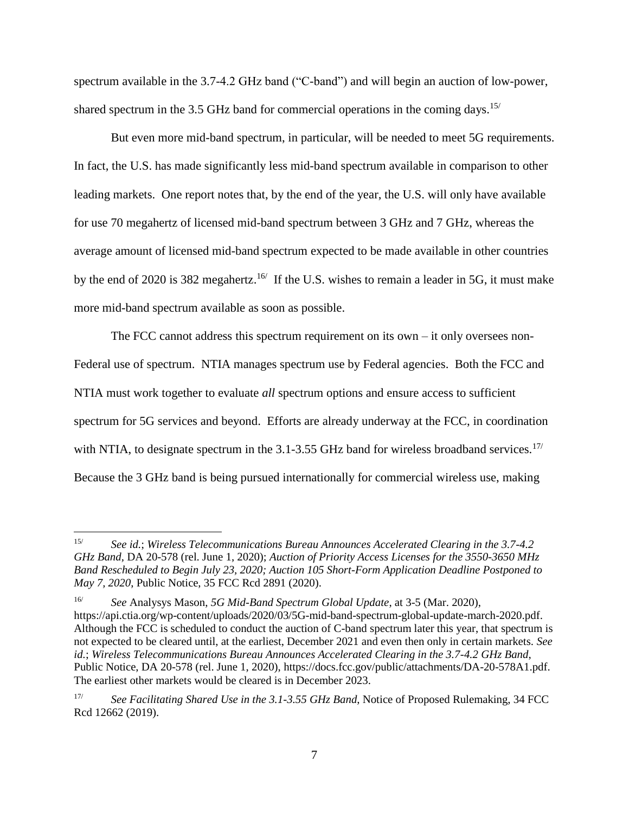spectrum available in the 3.7-4.2 GHz band ("C-band") and will begin an auction of low-power, shared spectrum in the 3.5 GHz band for commercial operations in the coming days.<sup>15/</sup>

But even more mid-band spectrum, in particular, will be needed to meet 5G requirements. In fact, the U.S. has made significantly less mid-band spectrum available in comparison to other leading markets. One report notes that, by the end of the year, the U.S. will only have available for use 70 megahertz of licensed mid-band spectrum between 3 GHz and 7 GHz, whereas the average amount of licensed mid-band spectrum expected to be made available in other countries by the end of 2020 is 382 megahertz.<sup>16</sup> If the U.S. wishes to remain a leader in 5G, it must make more mid-band spectrum available as soon as possible.

The FCC cannot address this spectrum requirement on its own  $-$  it only oversees non-Federal use of spectrum. NTIA manages spectrum use by Federal agencies. Both the FCC and NTIA must work together to evaluate *all* spectrum options and ensure access to sufficient spectrum for 5G services and beyond. Efforts are already underway at the FCC, in coordination with NTIA, to designate spectrum in the  $3.1$ -3.55 GHz band for wireless broadband services.<sup>17/</sup> Because the 3 GHz band is being pursued internationally for commercial wireless use, making

 $15/$ 15/ *See id.*; *Wireless Telecommunications Bureau Announces Accelerated Clearing in the 3.7-4.2 GHz Band*, DA 20-578 (rel. June 1, 2020); *Auction of Priority Access Licenses for the 3550-3650 MHz Band Rescheduled to Begin July 23, 2020; Auction 105 Short-Form Application Deadline Postponed to May 7, 2020*, Public Notice, 35 FCC Rcd 2891 (2020).

<sup>16/</sup> *See* Analysys Mason, *5G Mid-Band Spectrum Global Update*, at 3-5 (Mar. 2020), https://api.ctia.org/wp-content/uploads/2020/03/5G-mid-band-spectrum-global-update-march-2020.pdf. Although the FCC is scheduled to conduct the auction of C-band spectrum later this year, that spectrum is not expected to be cleared until, at the earliest, December 2021 and even then only in certain markets. *See id.*; *Wireless Telecommunications Bureau Announces Accelerated Clearing in the 3.7-4.2 GHz Band*, Public Notice, DA 20-578 (rel. June 1, 2020), https://docs.fcc.gov/public/attachments/DA-20-578A1.pdf. The earliest other markets would be cleared is in December 2023.

<sup>17/</sup> *See Facilitating Shared Use in the 3.1-3.55 GHz Band*, Notice of Proposed Rulemaking, 34 FCC Rcd 12662 (2019).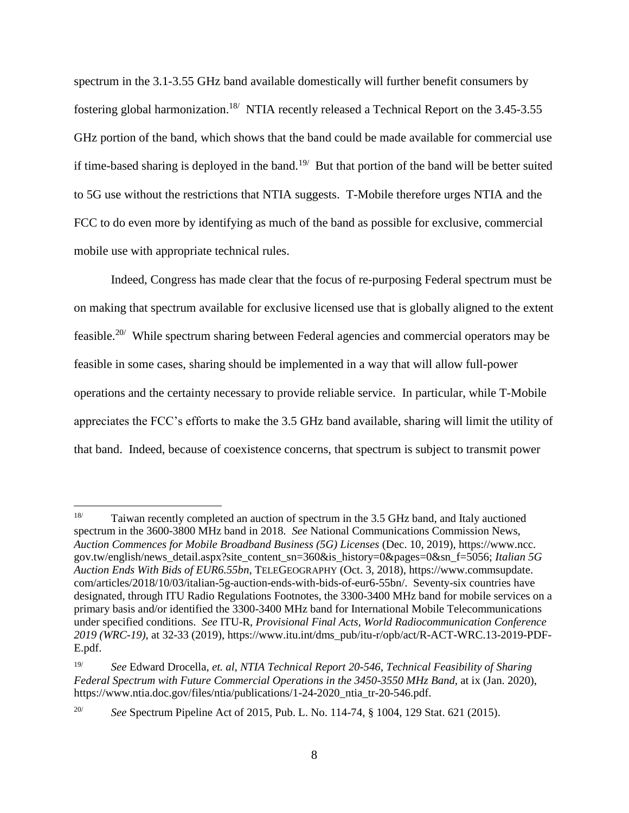spectrum in the 3.1-3.55 GHz band available domestically will further benefit consumers by fostering global harmonization.<sup>18</sup>/ NTIA recently released a Technical Report on the 3.45-3.55 GHz portion of the band, which shows that the band could be made available for commercial use if time-based sharing is deployed in the band.<sup>19/</sup> But that portion of the band will be better suited to 5G use without the restrictions that NTIA suggests. T-Mobile therefore urges NTIA and the FCC to do even more by identifying as much of the band as possible for exclusive, commercial mobile use with appropriate technical rules.

Indeed, Congress has made clear that the focus of re-purposing Federal spectrum must be on making that spectrum available for exclusive licensed use that is globally aligned to the extent feasible.<sup>20/</sup> While spectrum sharing between Federal agencies and commercial operators may be feasible in some cases, sharing should be implemented in a way that will allow full-power operations and the certainty necessary to provide reliable service. In particular, while T-Mobile appreciates the FCC's efforts to make the 3.5 GHz band available, sharing will limit the utility of that band. Indeed, because of coexistence concerns, that spectrum is subject to transmit power

<sup>&</sup>lt;sup>18</sup> Taiwan recently completed an auction of spectrum in the 3.5 GHz band, and Italy auctioned spectrum in the 3600-3800 MHz band in 2018. *See* National Communications Commission News, *Auction Commences for Mobile Broadband Business (5G) Licenses* (Dec. 10, 2019), https://www.ncc. gov.tw/english/news\_detail.aspx?site\_content\_sn=360&is\_history=0&pages=0&sn\_f=5056; *Italian 5G Auction Ends With Bids of EUR6.55bn*, TELEGEOGRAPHY (Oct. 3, 2018), https://www.commsupdate. com/articles/2018/10/03/italian-5g-auction-ends-with-bids-of-eur6-55bn/. Seventy-six countries have designated, through ITU Radio Regulations Footnotes, the 3300-3400 MHz band for mobile services on a primary basis and/or identified the 3300-3400 MHz band for International Mobile Telecommunications under specified conditions. *See* ITU-R, *Provisional Final Acts, World Radiocommunication Conference 2019 (WRC-19)*, at 32-33 (2019), https://www.itu.int/dms\_pub/itu-r/opb/act/R-ACT-WRC.13-2019-PDF-E.pdf.

<sup>19/</sup> *See* Edward Drocella, *et. al*, *NTIA Technical Report 20-546, Technical Feasibility of Sharing Federal Spectrum with Future Commercial Operations in the 3450-3550 MHz Band*, at ix (Jan. 2020), https://www.ntia.doc.gov/files/ntia/publications/1-24-2020\_ntia\_tr-20-546.pdf.

<sup>20/</sup> *See* Spectrum Pipeline Act of 2015, Pub. L. No. 114-74, § 1004, 129 Stat. 621 (2015).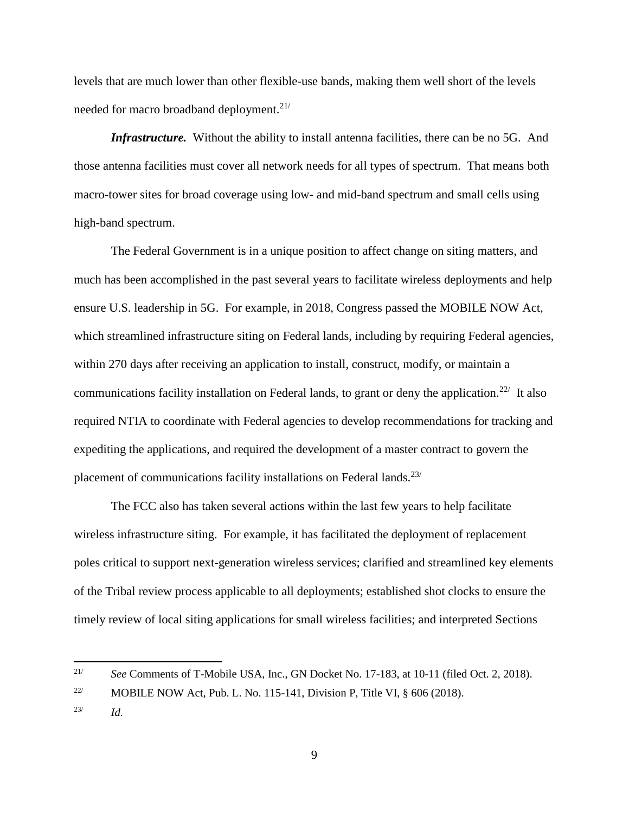levels that are much lower than other flexible-use bands, making them well short of the levels needed for macro broadband deployment.<sup>21/</sup>

*Infrastructure.* Without the ability to install antenna facilities, there can be no 5G. And those antenna facilities must cover all network needs for all types of spectrum. That means both macro-tower sites for broad coverage using low- and mid-band spectrum and small cells using high-band spectrum.

The Federal Government is in a unique position to affect change on siting matters, and much has been accomplished in the past several years to facilitate wireless deployments and help ensure U.S. leadership in 5G. For example, in 2018, Congress passed the MOBILE NOW Act, which streamlined infrastructure siting on Federal lands, including by requiring Federal agencies, within 270 days after receiving an application to install, construct, modify, or maintain a communications facility installation on Federal lands, to grant or deny the application.<sup>22/</sup> It also required NTIA to coordinate with Federal agencies to develop recommendations for tracking and expediting the applications, and required the development of a master contract to govern the placement of communications facility installations on Federal lands.<sup>23/</sup>

The FCC also has taken several actions within the last few years to help facilitate wireless infrastructure siting. For example, it has facilitated the deployment of replacement poles critical to support next-generation wireless services; clarified and streamlined key elements of the Tribal review process applicable to all deployments; established shot clocks to ensure the timely review of local siting applications for small wireless facilities; and interpreted Sections

<sup>&</sup>lt;sup>21/</sup> *See* Comments of T-Mobile USA, Inc., GN Docket No. 17-183, at 10-11 (filed Oct. 2, 2018).

<sup>&</sup>lt;sup>22/</sup> MOBILE NOW Act, Pub. L. No. 115-141, Division P, Title VI,  $\S$  606 (2018).

<sup>23/</sup> *Id.*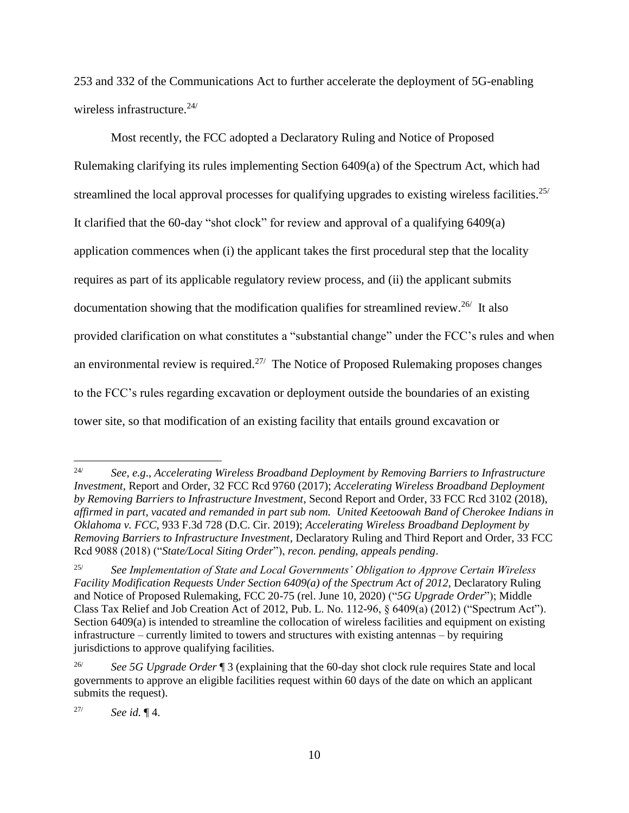253 and 332 of the Communications Act to further accelerate the deployment of 5G-enabling wireless infrastructure.<sup>24/</sup>

Most recently, the FCC adopted a Declaratory Ruling and Notice of Proposed Rulemaking clarifying its rules implementing Section 6409(a) of the Spectrum Act, which had streamlined the local approval processes for qualifying upgrades to existing wireless facilities.<sup>25/</sup> It clarified that the 60-day "shot clock" for review and approval of a qualifying 6409(a) application commences when (i) the applicant takes the first procedural step that the locality requires as part of its applicable regulatory review process, and (ii) the applicant submits documentation showing that the modification qualifies for streamlined review.<sup>26/</sup> It also provided clarification on what constitutes a "substantial change" under the FCC's rules and when an environmental review is required.<sup>27/</sup> The Notice of Proposed Rulemaking proposes changes to the FCC's rules regarding excavation or deployment outside the boundaries of an existing tower site, so that modification of an existing facility that entails ground excavation or

27/ *See id.* ¶ 4.

<sup>24/</sup> *See, e.g*., *Accelerating Wireless Broadband Deployment by Removing Barriers to Infrastructure Investment*, Report and Order, 32 FCC Rcd 9760 (2017); *Accelerating Wireless Broadband Deployment by Removing Barriers to Infrastructure Investment*, Second Report and Order, 33 FCC Rcd 3102 (2018), *affirmed in part, vacated and remanded in part sub nom. United Keetoowah Band of Cherokee Indians in Oklahoma v. FCC*, 933 F.3d 728 (D.C. Cir. 2019); *Accelerating Wireless Broadband Deployment by Removing Barriers to Infrastructure Investment*, Declaratory Ruling and Third Report and Order, 33 FCC Rcd 9088 (2018) ("*State/Local Siting Order*"), *recon. pending, appeals pending*.

<sup>25/</sup> *See Implementation of State and Local Governments' Obligation to Approve Certain Wireless Facility Modification Requests Under Section 6409(a) of the Spectrum Act of 2012*, Declaratory Ruling and Notice of Proposed Rulemaking, FCC 20-75 (rel. June 10, 2020) ("*5G Upgrade Order*"); Middle Class Tax Relief and Job Creation Act of 2012, Pub. L. No. 112-96, § 6409(a) (2012) ("Spectrum Act"). Section 6409(a) is intended to streamline the collocation of wireless facilities and equipment on existing infrastructure – currently limited to towers and structures with existing antennas – by requiring jurisdictions to approve qualifying facilities.

<sup>26/</sup> *See 5G Upgrade Order* ¶ 3 (explaining that the 60-day shot clock rule requires State and local governments to approve an eligible facilities request within 60 days of the date on which an applicant submits the request).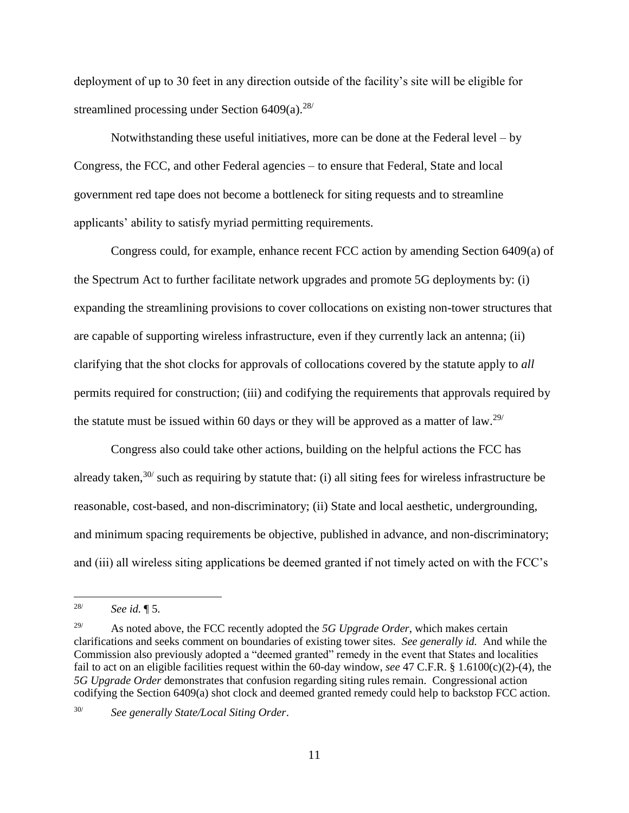deployment of up to 30 feet in any direction outside of the facility's site will be eligible for streamlined processing under Section  $6409(a)$ <sup>28/</sup>

Notwithstanding these useful initiatives, more can be done at the Federal level – by Congress, the FCC, and other Federal agencies – to ensure that Federal, State and local government red tape does not become a bottleneck for siting requests and to streamline applicants' ability to satisfy myriad permitting requirements.

Congress could, for example, enhance recent FCC action by amending Section 6409(a) of the Spectrum Act to further facilitate network upgrades and promote 5G deployments by: (i) expanding the streamlining provisions to cover collocations on existing non-tower structures that are capable of supporting wireless infrastructure, even if they currently lack an antenna; (ii) clarifying that the shot clocks for approvals of collocations covered by the statute apply to *all* permits required for construction; (iii) and codifying the requirements that approvals required by the statute must be issued within 60 days or they will be approved as a matter of law.29/

Congress also could take other actions, building on the helpful actions the FCC has already taken,  $30/$  such as requiring by statute that: (i) all siting fees for wireless infrastructure be reasonable, cost-based, and non-discriminatory; (ii) State and local aesthetic, undergrounding, and minimum spacing requirements be objective, published in advance, and non-discriminatory; and (iii) all wireless siting applications be deemed granted if not timely acted on with the FCC's

 $\overline{a}$ 

30/ *See generally State/Local Siting Order*.

<sup>28/</sup> *See id.* ¶ 5.

<sup>&</sup>lt;sup>29/</sup> As noted above, the FCC recently adopted the *5G Upgrade Order*, which makes certain clarifications and seeks comment on boundaries of existing tower sites. *See generally id.* And while the Commission also previously adopted a "deemed granted" remedy in the event that States and localities fail to act on an eligible facilities request within the 60-day window, *see* 47 C.F.R. § 1.6100(c)(2)-(4), the *5G Upgrade Order* demonstrates that confusion regarding siting rules remain. Congressional action codifying the Section 6409(a) shot clock and deemed granted remedy could help to backstop FCC action.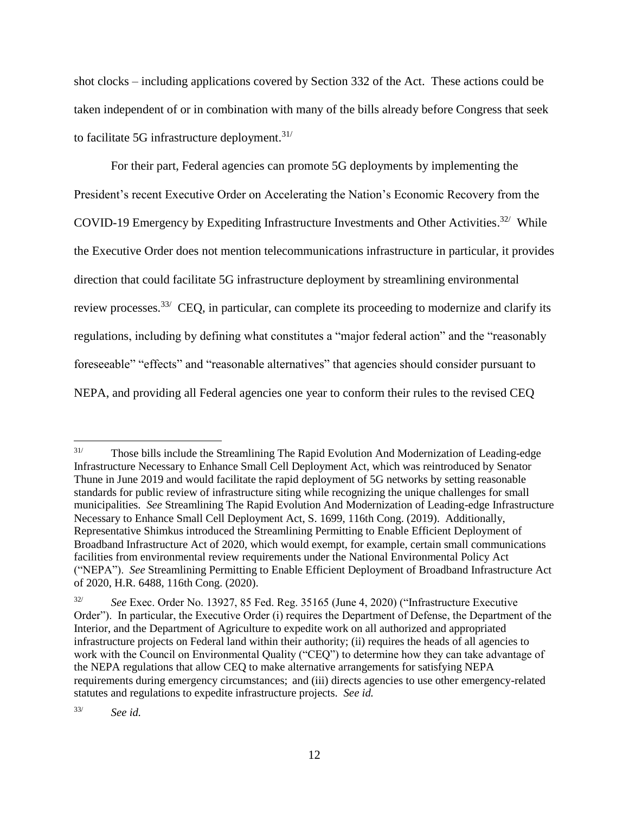shot clocks – including applications covered by Section 332 of the Act. These actions could be taken independent of or in combination with many of the bills already before Congress that seek to facilitate 5G infrastructure deployment. $31/$ 

For their part, Federal agencies can promote 5G deployments by implementing the President's recent Executive Order on Accelerating the Nation's Economic Recovery from the COVID-19 Emergency by Expediting Infrastructure Investments and Other Activities.<sup>32/</sup> While the Executive Order does not mention telecommunications infrastructure in particular, it provides direction that could facilitate 5G infrastructure deployment by streamlining environmental review processes.<sup>33/</sup> CEQ, in particular, can complete its proceeding to modernize and clarify its regulations, including by defining what constitutes a "major federal action" and the "reasonably foreseeable" "effects" and "reasonable alternatives" that agencies should consider pursuant to NEPA, and providing all Federal agencies one year to conform their rules to the revised CEQ

33/ *See id.*

 $31/$ Those bills include the Streamlining The Rapid Evolution And Modernization of Leading-edge Infrastructure Necessary to Enhance Small Cell Deployment Act, which was reintroduced by Senator Thune in June 2019 and would facilitate the rapid deployment of 5G networks by setting reasonable standards for public review of infrastructure siting while recognizing the unique challenges for small municipalities. *See* Streamlining The Rapid Evolution And Modernization of Leading-edge Infrastructure Necessary to Enhance Small Cell Deployment Act, S. 1699, 116th Cong. (2019). Additionally, Representative Shimkus introduced the Streamlining Permitting to Enable Efficient Deployment of Broadband Infrastructure Act of 2020, which would exempt, for example, certain small communications facilities from environmental review requirements under the National Environmental Policy Act ("NEPA"). *See* Streamlining Permitting to Enable Efficient Deployment of Broadband Infrastructure Act of 2020, H.R. 6488, 116th Cong. (2020).

<sup>32/</sup> *See* Exec. Order No. 13927, 85 Fed. Reg. 35165 (June 4, 2020) ("Infrastructure Executive Order"). In particular, the Executive Order (i) requires the Department of Defense, the Department of the Interior, and the Department of Agriculture to expedite work on all authorized and appropriated infrastructure projects on Federal land within their authority; (ii) requires the heads of all agencies to work with the Council on Environmental Quality ("CEQ") to determine how they can take advantage of the NEPA regulations that allow CEQ to make alternative arrangements for satisfying NEPA requirements during emergency circumstances; and (iii) directs agencies to use other emergency-related statutes and regulations to expedite infrastructure projects. *See id.*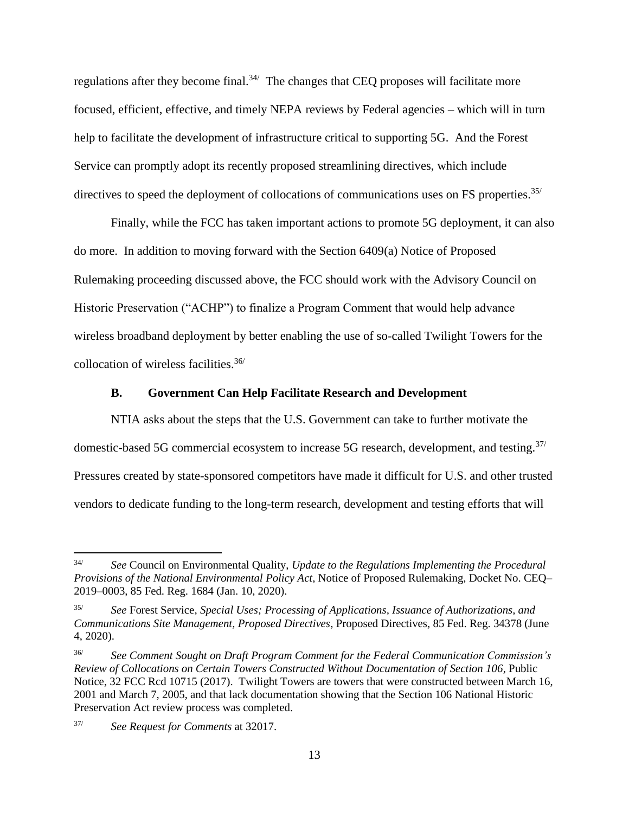regulations after they become final.<sup>34/</sup> The changes that CEQ proposes will facilitate more focused, efficient, effective, and timely NEPA reviews by Federal agencies – which will in turn help to facilitate the development of infrastructure critical to supporting 5G. And the Forest Service can promptly adopt its recently proposed streamlining directives, which include directives to speed the deployment of collocations of communications uses on FS properties.<sup>35/</sup>

Finally, while the FCC has taken important actions to promote 5G deployment, it can also do more. In addition to moving forward with the Section 6409(a) Notice of Proposed Rulemaking proceeding discussed above, the FCC should work with the Advisory Council on Historic Preservation ("ACHP") to finalize a Program Comment that would help advance wireless broadband deployment by better enabling the use of so-called Twilight Towers for the collocation of wireless facilities.36/

#### **B. Government Can Help Facilitate Research and Development**

<span id="page-14-0"></span>NTIA asks about the steps that the U.S. Government can take to further motivate the domestic-based 5G commercial ecosystem to increase 5G research, development, and testing.37/ Pressures created by state-sponsored competitors have made it difficult for U.S. and other trusted vendors to dedicate funding to the long-term research, development and testing efforts that will

<sup>34/</sup> *See* Council on Environmental Quality, *Update to the Regulations Implementing the Procedural Provisions of the National Environmental Policy Act*, Notice of Proposed Rulemaking, Docket No. CEQ– 2019–0003, 85 Fed. Reg. 1684 (Jan. 10, 2020).

<sup>35/</sup> *See* Forest Service, *Special Uses; Processing of Applications, Issuance of Authorizations, and Communications Site Management, Proposed Directives*, Proposed Directives, 85 Fed. Reg. 34378 (June 4, 2020).

<sup>36/</sup> *See Comment Sought on Draft Program Comment for the Federal Communication Commission's Review of Collocations on Certain Towers Constructed Without Documentation of Section 106*, Public Notice, 32 FCC Rcd 10715 (2017). Twilight Towers are towers that were constructed between March 16, 2001 and March 7, 2005, and that lack documentation showing that the Section 106 National Historic Preservation Act review process was completed.

<sup>37/</sup> *See Request for Comments* at 32017.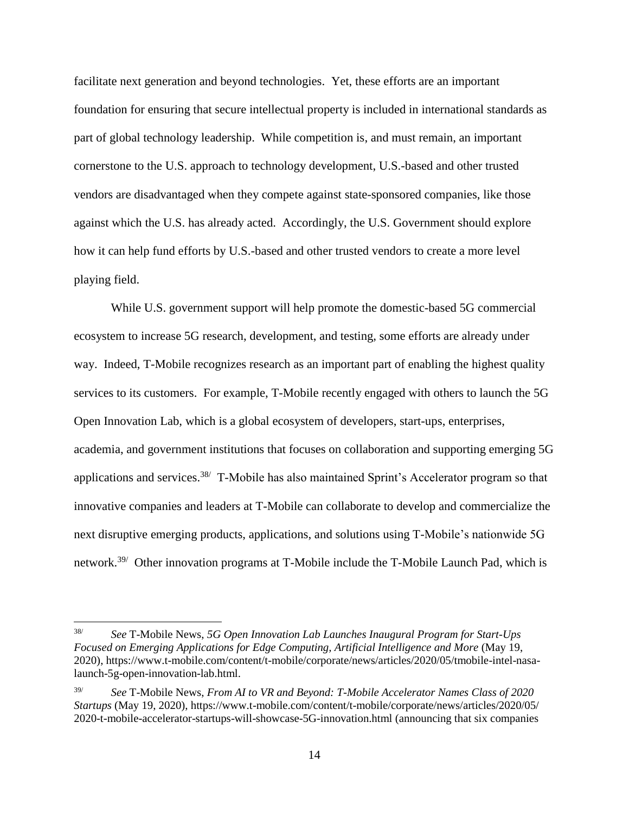facilitate next generation and beyond technologies. Yet, these efforts are an important foundation for ensuring that secure intellectual property is included in international standards as part of global technology leadership. While competition is, and must remain, an important cornerstone to the U.S. approach to technology development, U.S.-based and other trusted vendors are disadvantaged when they compete against state-sponsored companies, like those against which the U.S. has already acted. Accordingly, the U.S. Government should explore how it can help fund efforts by U.S.-based and other trusted vendors to create a more level playing field.

While U.S. government support will help promote the domestic-based 5G commercial ecosystem to increase 5G research, development, and testing, some efforts are already under way. Indeed, T-Mobile recognizes research as an important part of enabling the highest quality services to its customers. For example, T-Mobile recently engaged with others to launch the 5G Open Innovation Lab, which is a global ecosystem of developers, start-ups, enterprises, academia, and government institutions that focuses on collaboration and supporting emerging 5G applications and services.<sup>38/</sup> T-Mobile has also maintained Sprint's Accelerator program so that innovative companies and leaders at T-Mobile can collaborate to develop and commercialize the next disruptive emerging products, applications, and solutions using T-Mobile's nationwide 5G network.<sup>39/</sup> Other innovation programs at T-Mobile include the T-Mobile Launch Pad, which is

<sup>38/</sup> *See* T-Mobile News, *5G Open Innovation Lab Launches Inaugural Program for Start-Ups Focused on Emerging Applications for Edge Computing, Artificial Intelligence and More* (May 19, 2020), https://www.t-mobile.com/content/t-mobile/corporate/news/articles/2020/05/tmobile-intel-nasalaunch-5g-open-innovation-lab.html.

<sup>39/</sup> *See* T-Mobile News, *From AI to VR and Beyond: T-Mobile Accelerator Names Class of 2020 Startups* (May 19, 2020), https://www.t-mobile.com/content/t-mobile/corporate/news/articles/2020/05/ 2020-t-mobile-accelerator-startups-will-showcase-5G-innovation.html (announcing that six companies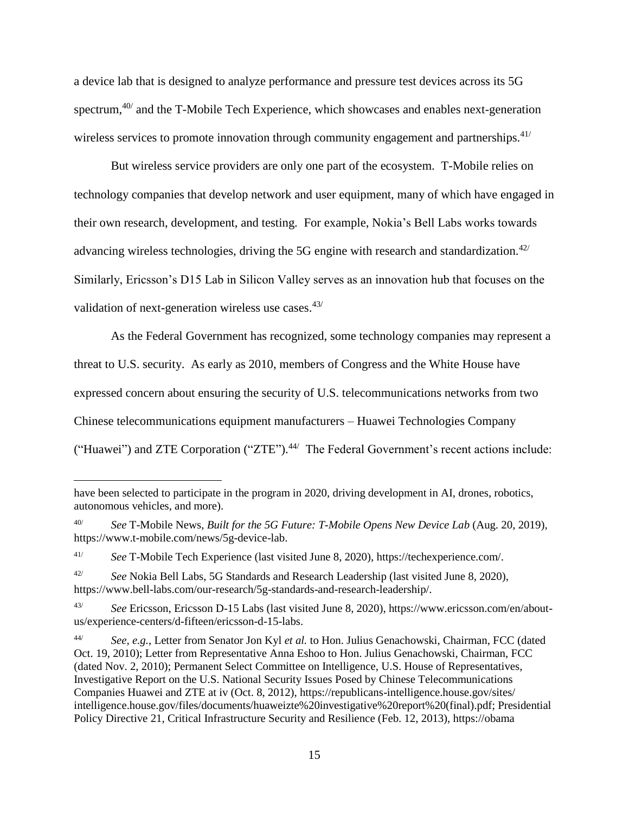a device lab that is designed to analyze performance and pressure test devices across its 5G spectrum,<sup>40/</sup> and the T-Mobile Tech Experience, which showcases and enables next-generation wireless services to promote innovation through community engagement and partnerships. $41/$ 

But wireless service providers are only one part of the ecosystem. T-Mobile relies on technology companies that develop network and user equipment, many of which have engaged in their own research, development, and testing. For example, Nokia's Bell Labs works towards advancing wireless technologies, driving the 5G engine with research and standardization.<sup>42/</sup> Similarly, Ericsson's D15 Lab in Silicon Valley serves as an innovation hub that focuses on the validation of next-generation wireless use cases.<sup>43/</sup>

As the Federal Government has recognized, some technology companies may represent a threat to U.S. security. As early as 2010, members of Congress and the White House have expressed concern about ensuring the security of U.S. telecommunications networks from two Chinese telecommunications equipment manufacturers – Huawei Technologies Company ("Huawei") and ZTE Corporation ("ZTE").<sup>44/</sup> The Federal Government's recent actions include:

have been selected to participate in the program in 2020, driving development in AI, drones, robotics, autonomous vehicles, and more).

<sup>40/</sup> *See* T-Mobile News, *Built for the 5G Future: T-Mobile Opens New Device Lab* (Aug. 20, 2019), https://www.t-mobile.com/news/5g-device-lab.

<sup>41/</sup> *See* T-Mobile Tech Experience (last visited June 8, 2020), https://techexperience.com/.

<sup>42/</sup> *See* Nokia Bell Labs, 5G Standards and Research Leadership (last visited June 8, 2020), https://www.bell-labs.com/our-research/5g-standards-and-research-leadership/.

<sup>43/</sup> *See* Ericsson, Ericsson D-15 Labs (last visited June 8, 2020), https://www.ericsson.com/en/aboutus/experience-centers/d-fifteen/ericsson-d-15-labs.

<sup>44/</sup> *See, e.g.*, Letter from Senator Jon Kyl *et al.* to Hon. Julius Genachowski, Chairman, FCC (dated Oct. 19, 2010); Letter from Representative Anna Eshoo to Hon. Julius Genachowski, Chairman, FCC (dated Nov. 2, 2010); Permanent Select Committee on Intelligence, U.S. House of Representatives, Investigative Report on the U.S. National Security Issues Posed by Chinese Telecommunications Companies Huawei and ZTE at iv (Oct. 8, 2012), https://republicans-intelligence.house.gov/sites/ intelligence.house.gov/files/documents/huaweizte%20investigative%20report%20(final).pdf; Presidential Policy Directive 21, Critical Infrastructure Security and Resilience (Feb. 12, 2013), https://obama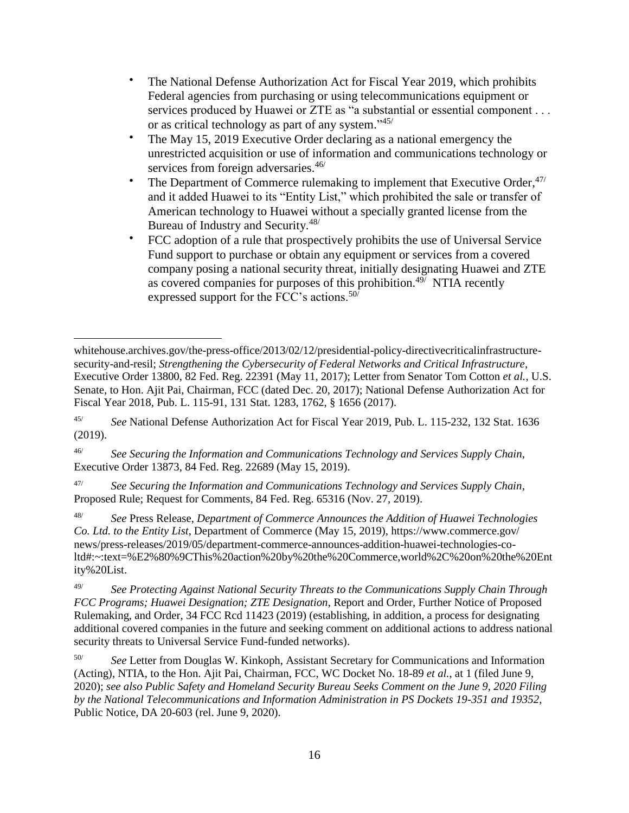- The National Defense Authorization Act for Fiscal Year 2019, which prohibits Federal agencies from purchasing or using telecommunications equipment or services produced by Huawei or ZTE as "a substantial or essential component . . . or as critical technology as part of any system."<sup>45/</sup>
- The May 15, 2019 Executive Order declaring as a national emergency the unrestricted acquisition or use of information and communications technology or services from foreign adversaries.<sup>46/</sup>
- The Department of Commerce rulemaking to implement that Executive Order, $47/$ and it added Huawei to its "Entity List," which prohibited the sale or transfer of American technology to Huawei without a specially granted license from the Bureau of Industry and Security.<sup>48/</sup>
- FCC adoption of a rule that prospectively prohibits the use of Universal Service Fund support to purchase or obtain any equipment or services from a covered company posing a national security threat, initially designating Huawei and ZTE as covered companies for purposes of this prohibition.<sup>49/</sup> NTIA recently expressed support for the FCC's actions.<sup>50/</sup>

46/ *See Securing the Information and Communications Technology and Services Supply Chain*, Executive Order 13873, 84 Fed. Reg. 22689 (May 15, 2019).

47/ *See Securing the Information and Communications Technology and Services Supply Chain*, Proposed Rule; Request for Comments, 84 Fed. Reg. 65316 (Nov. 27, 2019).

48/ *See* Press Release, *Department of Commerce Announces the Addition of Huawei Technologies Co. Ltd. to the Entity List*, Department of Commerce (May 15, 2019), https://www.commerce.gov/ news/press-releases/2019/05/department-commerce-announces-addition-huawei-technologies-coltd#:~:text=%E2%80%9CThis%20action%20by%20the%20Commerce,world%2C%20on%20the%20Ent ity%20List.

49/ *See Protecting Against National Security Threats to the Communications Supply Chain Through FCC Programs; Huawei Designation; ZTE Designation*, Report and Order, Further Notice of Proposed Rulemaking, and Order, 34 FCC Rcd 11423 (2019) (establishing, in addition, a process for designating additional covered companies in the future and seeking comment on additional actions to address national security threats to Universal Service Fund-funded networks).

50/ *See* Letter from Douglas W. Kinkoph, Assistant Secretary for Communications and Information (Acting), NTIA, to the Hon. Ajit Pai, Chairman, FCC, WC Docket No. 18-89 *et al.*, at 1 (filed June 9, 2020); *see also Public Safety and Homeland Security Bureau Seeks Comment on the June 9, 2020 Filing by the National Telecommunications and Information Administration in PS Dockets 19-351 and 19352*, Public Notice, DA 20-603 (rel. June 9, 2020).

 $\overline{a}$ whitehouse.archives.gov/the-press-office/2013/02/12/presidential-policy-directivecriticalinfrastructuresecurity-and-resil; *Strengthening the Cybersecurity of Federal Networks and Critical Infrastructure*, Executive Order 13800, 82 Fed. Reg. 22391 (May 11, 2017); Letter from Senator Tom Cotton *et al.*, U.S. Senate, to Hon. Ajit Pai, Chairman, FCC (dated Dec. 20, 2017); National Defense Authorization Act for Fiscal Year 2018, Pub. L. 115-91, 131 Stat. 1283, 1762, § 1656 (2017).

<sup>45/</sup> *See* National Defense Authorization Act for Fiscal Year 2019, Pub. L. 115-232, 132 Stat. 1636 (2019).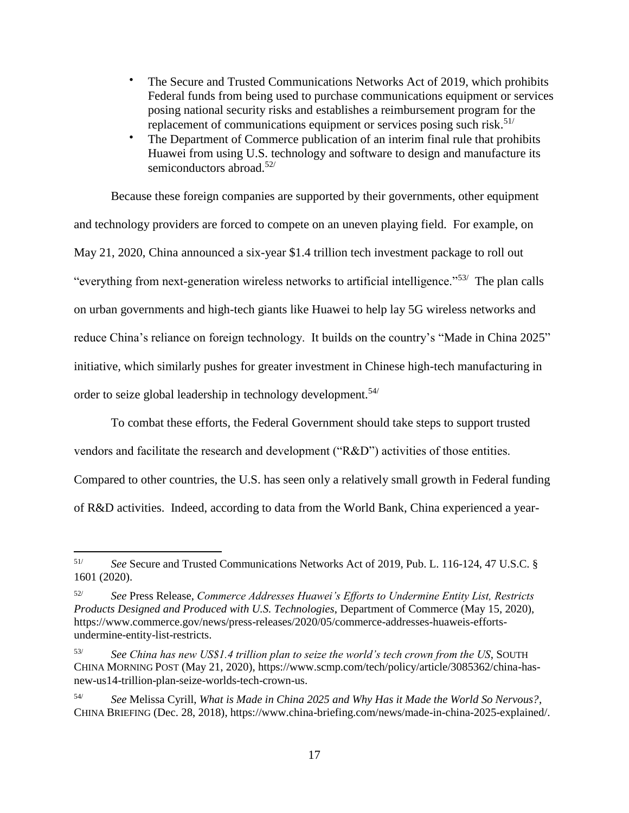- The Secure and Trusted Communications Networks Act of 2019, which prohibits Federal funds from being used to purchase communications equipment or services posing national security risks and establishes a reimbursement program for the replacement of communications equipment or services posing such risk.<sup>51/</sup>
- The Department of Commerce publication of an interim final rule that prohibits Huawei from using U.S. technology and software to design and manufacture its semiconductors abroad.<sup>52/</sup>

Because these foreign companies are supported by their governments, other equipment and technology providers are forced to compete on an uneven playing field. For example, on May 21, 2020, China announced a six-year \$1.4 trillion tech investment package to roll out "everything from next-generation wireless networks to artificial intelligence."<sup>53/</sup> The plan calls on urban governments and high-tech giants like Huawei to help lay 5G wireless networks and reduce China's reliance on foreign technology. It builds on the country's "Made in China 2025" initiative, which similarly pushes for greater investment in Chinese high-tech manufacturing in order to seize global leadership in technology development.54/

To combat these efforts, the Federal Government should take steps to support trusted

vendors and facilitate the research and development ("R&D") activities of those entities.

Compared to other countries, the U.S. has seen only a relatively small growth in Federal funding

of R&D activities. Indeed, according to data from the World Bank, China experienced a year-

<sup>51/</sup> *See* Secure and Trusted Communications Networks Act of 2019, Pub. L. 116-124, 47 U.S.C. § 1601 (2020).

<sup>52/</sup> *See* Press Release, *Commerce Addresses Huawei's Efforts to Undermine Entity List, Restricts Products Designed and Produced with U.S. Technologies*, Department of Commerce (May 15, 2020), https://www.commerce.gov/news/press-releases/2020/05/commerce-addresses-huaweis-effortsundermine-entity-list-restricts.

<sup>53/</sup> *See China has new US\$1.4 trillion plan to seize the world's tech crown from the US*, SOUTH CHINA MORNING POST (May 21, 2020), https://www.scmp.com/tech/policy/article/3085362/china-hasnew-us14-trillion-plan-seize-worlds-tech-crown-us.

<sup>54/</sup> *See* Melissa Cyrill, *What is Made in China 2025 and Why Has it Made the World So Nervous?*, CHINA BRIEFING (Dec. 28, 2018), https://www.china-briefing.com/news/made-in-china-2025-explained/.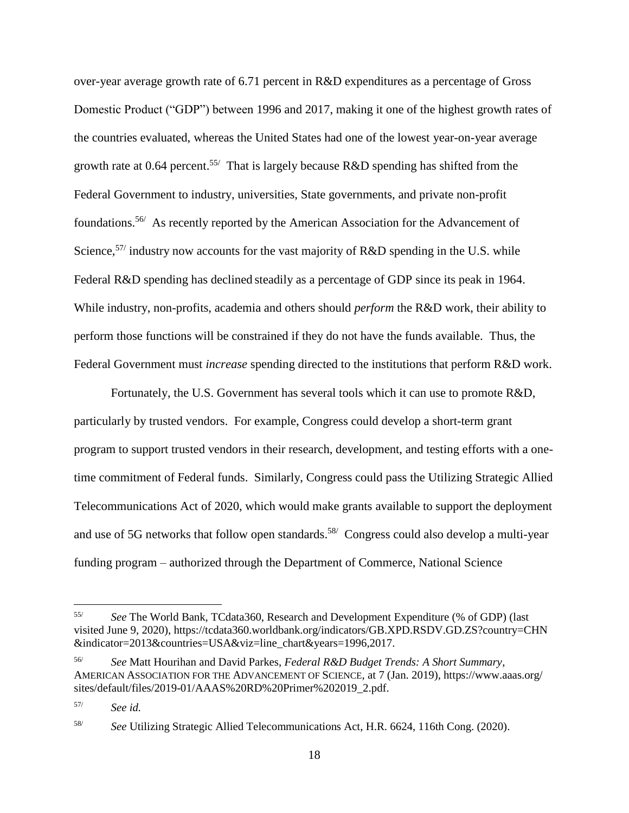over-year average growth rate of 6.71 percent in R&D expenditures as a percentage of Gross Domestic Product ("GDP") between 1996 and 2017, making it one of the highest growth rates of the countries evaluated, whereas the United States had one of the lowest year-on-year average growth rate at 0.64 percent.<sup>55/</sup> That is largely because R&D spending has shifted from the Federal Government to industry, universities, State governments, and private non-profit foundations.<sup>56/</sup> As recently reported by the American Association for the Advancement of Science,  $57/$  industry now accounts for the vast majority of R&D spending in the U.S. while Federal R&D spending has declined steadily as a percentage of GDP since its peak in 1964. While industry, non-profits, academia and others should *perform* the R&D work, their ability to perform those functions will be constrained if they do not have the funds available. Thus, the Federal Government must *increase* spending directed to the institutions that perform R&D work.

Fortunately, the U.S. Government has several tools which it can use to promote R&D, particularly by trusted vendors. For example, Congress could develop a short-term grant program to support trusted vendors in their research, development, and testing efforts with a onetime commitment of Federal funds. Similarly, Congress could pass the Utilizing Strategic Allied Telecommunications Act of 2020, which would make grants available to support the deployment and use of 5G networks that follow open standards.<sup>58/</sup> Congress could also develop a multi-year funding program – authorized through the Department of Commerce, National Science

<sup>55/</sup> *See* The World Bank, TCdata360, Research and Development Expenditure (% of GDP) (last visited June 9, 2020), https://tcdata360.worldbank.org/indicators/GB.XPD.RSDV.GD.ZS?country=CHN &indicator=2013&countries=USA&viz=line\_chart&years=1996,2017.

<sup>56/</sup> *See* Matt Hourihan and David Parkes, *Federal R&D Budget Trends: A Short Summary*, AMERICAN ASSOCIATION FOR THE ADVANCEMENT OF SCIENCE, at 7 (Jan. 2019), https://www.aaas.org/ sites/default/files/2019-01/AAAS%20RD%20Primer%202019\_2.pdf.

<sup>57/</sup> *See id.*

<sup>58/</sup> *See* Utilizing Strategic Allied Telecommunications Act, H.R. 6624, 116th Cong. (2020).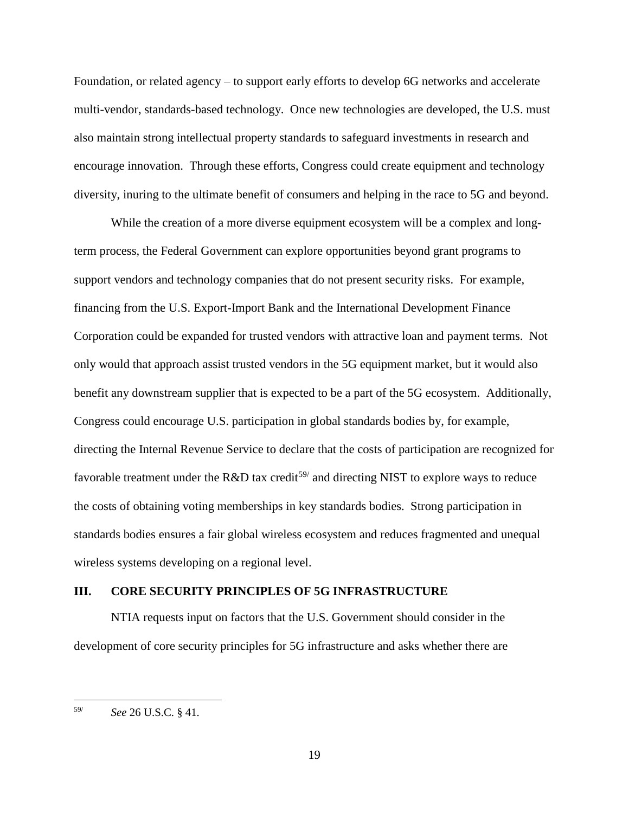Foundation, or related agency – to support early efforts to develop 6G networks and accelerate multi-vendor, standards-based technology. Once new technologies are developed, the U.S. must also maintain strong intellectual property standards to safeguard investments in research and encourage innovation. Through these efforts, Congress could create equipment and technology diversity, inuring to the ultimate benefit of consumers and helping in the race to 5G and beyond.

While the creation of a more diverse equipment ecosystem will be a complex and longterm process, the Federal Government can explore opportunities beyond grant programs to support vendors and technology companies that do not present security risks. For example, financing from the U.S. Export-Import Bank and the International Development Finance Corporation could be expanded for trusted vendors with attractive loan and payment terms. Not only would that approach assist trusted vendors in the 5G equipment market, but it would also benefit any downstream supplier that is expected to be a part of the 5G ecosystem. Additionally, Congress could encourage U.S. participation in global standards bodies by, for example, directing the Internal Revenue Service to declare that the costs of participation are recognized for favorable treatment under the R&D tax credit<sup>59/</sup> and directing NIST to explore ways to reduce the costs of obtaining voting memberships in key standards bodies. Strong participation in standards bodies ensures a fair global wireless ecosystem and reduces fragmented and unequal wireless systems developing on a regional level.

#### <span id="page-20-0"></span>**III. CORE SECURITY PRINCIPLES OF 5G INFRASTRUCTURE**

NTIA requests input on factors that the U.S. Government should consider in the development of core security principles for 5G infrastructure and asks whether there are

<sup>59/</sup> *See* 26 U.S.C. § 41.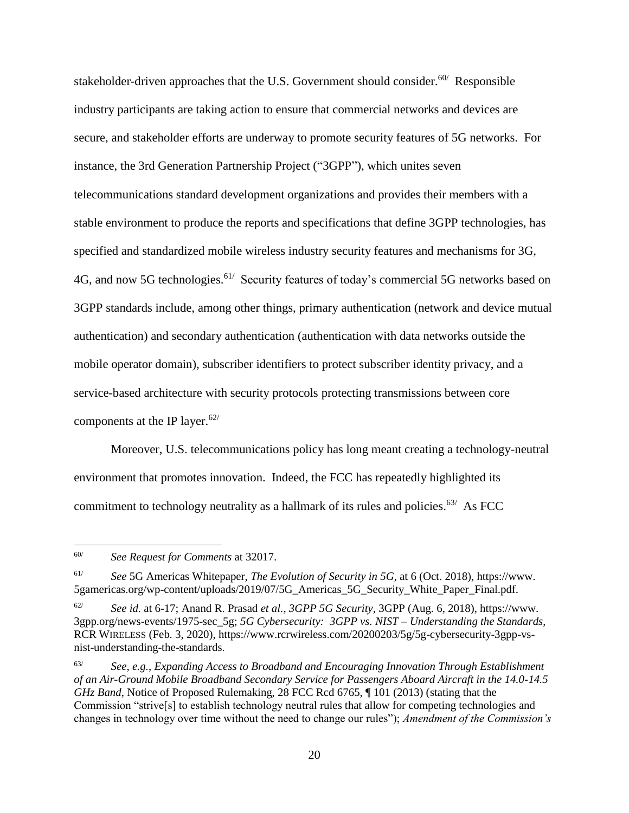stakeholder-driven approaches that the U.S. Government should consider.<sup>60/</sup> Responsible industry participants are taking action to ensure that commercial networks and devices are secure, and stakeholder efforts are underway to promote security features of 5G networks. For instance, the 3rd Generation Partnership Project ("3GPP"), which unites seven telecommunications standard development organizations and provides their members with a stable environment to produce the reports and specifications that define 3GPP technologies, has specified and standardized mobile wireless industry security features and mechanisms for 3G, 4G, and now 5G technologies.<sup>61/</sup> Security features of today's commercial 5G networks based on 3GPP standards include, among other things, primary authentication (network and device mutual authentication) and secondary authentication (authentication with data networks outside the mobile operator domain), subscriber identifiers to protect subscriber identity privacy, and a service-based architecture with security protocols protecting transmissions between core components at the IP layer. 62/

Moreover, U.S. telecommunications policy has long meant creating a technology-neutral environment that promotes innovation. Indeed, the FCC has repeatedly highlighted its commitment to technology neutrality as a hallmark of its rules and policies.<sup>63/</sup> As FCC

<sup>60/</sup> *See Request for Comments* at 32017.

<sup>61/</sup> *See* 5G Americas Whitepaper, *The Evolution of Security in 5G*, at 6 (Oct. 2018), https://www. 5gamericas.org/wp-content/uploads/2019/07/5G\_Americas\_5G\_Security\_White\_Paper\_Final.pdf.

<sup>62/</sup> *See id.* at 6-17; Anand R. Prasad *et al.*, *3GPP 5G Security*, 3GPP (Aug. 6, 2018), https://www. 3gpp.org/news-events/1975-sec\_5g; *5G Cybersecurity: 3GPP vs. NIST – Understanding the Standards*, RCR WIRELESS (Feb. 3, 2020), https://www.rcrwireless.com/20200203/5g/5g-cybersecurity-3gpp-vsnist-understanding-the-standards.

<sup>63/</sup> *See, e.g.*, *Expanding Access to Broadband and Encouraging Innovation Through Establishment of an Air-Ground Mobile Broadband Secondary Service for Passengers Aboard Aircraft in the 14.0-14.5 GHz Band*, Notice of Proposed Rulemaking, 28 FCC Rcd 6765, ¶ 101 (2013) (stating that the Commission "strive[s] to establish technology neutral rules that allow for competing technologies and changes in technology over time without the need to change our rules"); *Amendment of the Commission's*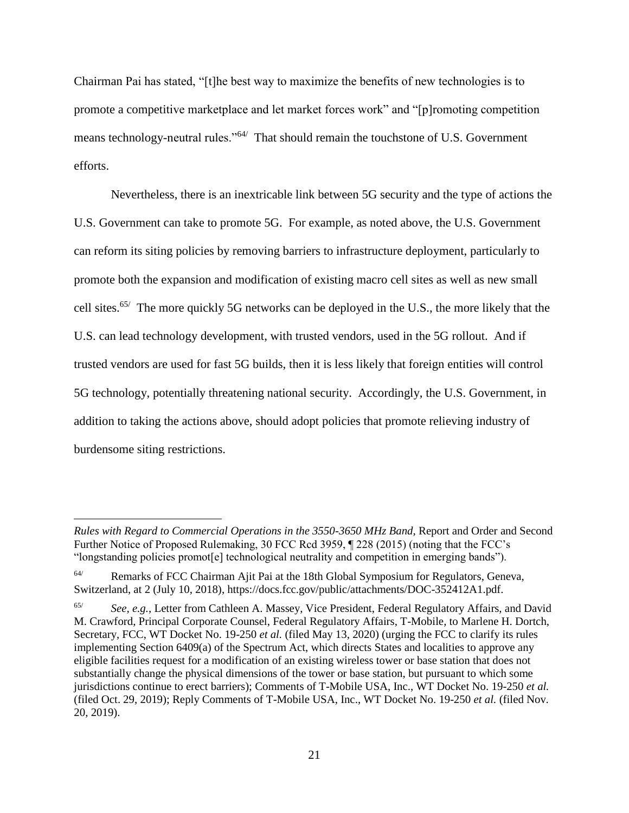Chairman Pai has stated, "[t]he best way to maximize the benefits of new technologies is to promote a competitive marketplace and let market forces work" and "[p]romoting competition means technology-neutral rules."<sup>64/</sup> That should remain the touchstone of U.S. Government efforts.

Nevertheless, there is an inextricable link between 5G security and the type of actions the U.S. Government can take to promote 5G. For example, as noted above, the U.S. Government can reform its siting policies by removing barriers to infrastructure deployment, particularly to promote both the expansion and modification of existing macro cell sites as well as new small cell sites.<sup>65/</sup> The more quickly 5G networks can be deployed in the U.S., the more likely that the U.S. can lead technology development, with trusted vendors, used in the 5G rollout. And if trusted vendors are used for fast 5G builds, then it is less likely that foreign entities will control 5G technology, potentially threatening national security. Accordingly, the U.S. Government, in addition to taking the actions above, should adopt policies that promote relieving industry of burdensome siting restrictions.

*Rules with Regard to Commercial Operations in the 3550-3650 MHz Band*, Report and Order and Second Further Notice of Proposed Rulemaking, 30 FCC Rcd 3959, ¶ 228 (2015) (noting that the FCC's "longstanding policies promot[e] technological neutrality and competition in emerging bands").

<sup>64/</sup> Remarks of FCC Chairman Ajit Pai at the 18th Global Symposium for Regulators, Geneva, Switzerland, at 2 (July 10, 2018), https://docs.fcc.gov/public/attachments/DOC-352412A1.pdf.

<sup>65/</sup> *See, e.g.*, Letter from Cathleen A. Massey, Vice President, Federal Regulatory Affairs, and David M. Crawford, Principal Corporate Counsel, Federal Regulatory Affairs, T-Mobile, to Marlene H. Dortch, Secretary, FCC, WT Docket No. 19-250 *et al.* (filed May 13, 2020) (urging the FCC to clarify its rules implementing Section 6409(a) of the Spectrum Act, which directs States and localities to approve any eligible facilities request for a modification of an existing wireless tower or base station that does not substantially change the physical dimensions of the tower or base station, but pursuant to which some jurisdictions continue to erect barriers); Comments of T-Mobile USA, Inc., WT Docket No. 19-250 *et al.* (filed Oct. 29, 2019); Reply Comments of T-Mobile USA, Inc., WT Docket No. 19-250 *et al.* (filed Nov. 20, 2019).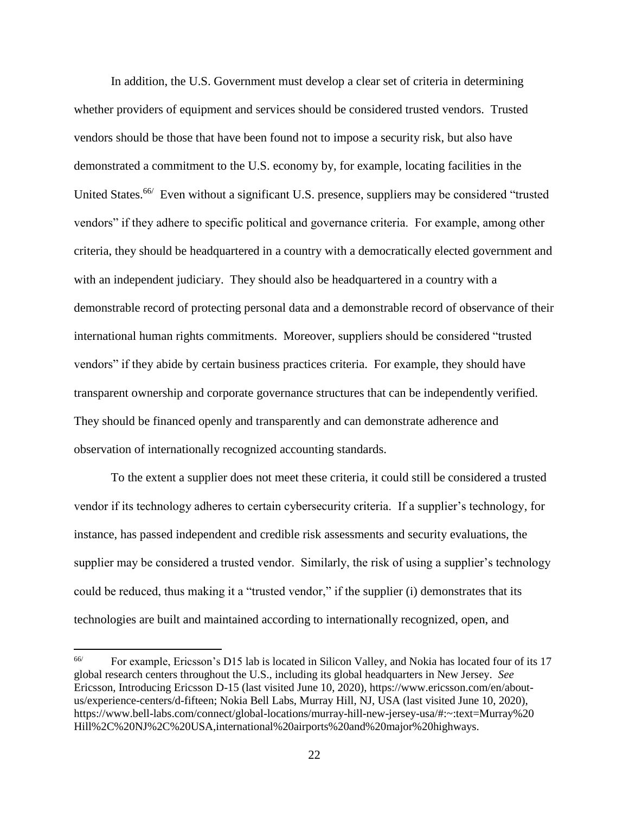In addition, the U.S. Government must develop a clear set of criteria in determining whether providers of equipment and services should be considered trusted vendors. Trusted vendors should be those that have been found not to impose a security risk, but also have demonstrated a commitment to the U.S. economy by, for example, locating facilities in the United States.<sup>66/</sup> Even without a significant U.S. presence, suppliers may be considered "trusted vendors" if they adhere to specific political and governance criteria. For example, among other criteria, they should be headquartered in a country with a democratically elected government and with an independent judiciary. They should also be headquartered in a country with a demonstrable record of protecting personal data and a demonstrable record of observance of their international human rights commitments. Moreover, suppliers should be considered "trusted vendors" if they abide by certain business practices criteria. For example, they should have transparent ownership and corporate governance structures that can be independently verified. They should be financed openly and transparently and can demonstrate adherence and observation of internationally recognized accounting standards.

To the extent a supplier does not meet these criteria, it could still be considered a trusted vendor if its technology adheres to certain cybersecurity criteria. If a supplier's technology, for instance, has passed independent and credible risk assessments and security evaluations, the supplier may be considered a trusted vendor. Similarly, the risk of using a supplier's technology could be reduced, thus making it a "trusted vendor," if the supplier (i) demonstrates that its technologies are built and maintained according to internationally recognized, open, and

<sup>66/</sup> For example, Ericsson's D15 lab is located in Silicon Valley, and Nokia has located four of its 17 global research centers throughout the U.S., including its global headquarters in New Jersey. *See* Ericsson, Introducing Ericsson D-15 (last visited June 10, 2020), https://www.ericsson.com/en/aboutus/experience-centers/d-fifteen; Nokia Bell Labs, Murray Hill, NJ, USA (last visited June 10, 2020), https://www.bell-labs.com/connect/global-locations/murray-hill-new-jersey-usa/#:~:text=Murray%20 Hill%2C%20NJ%2C%20USA,international%20airports%20and%20major%20highways.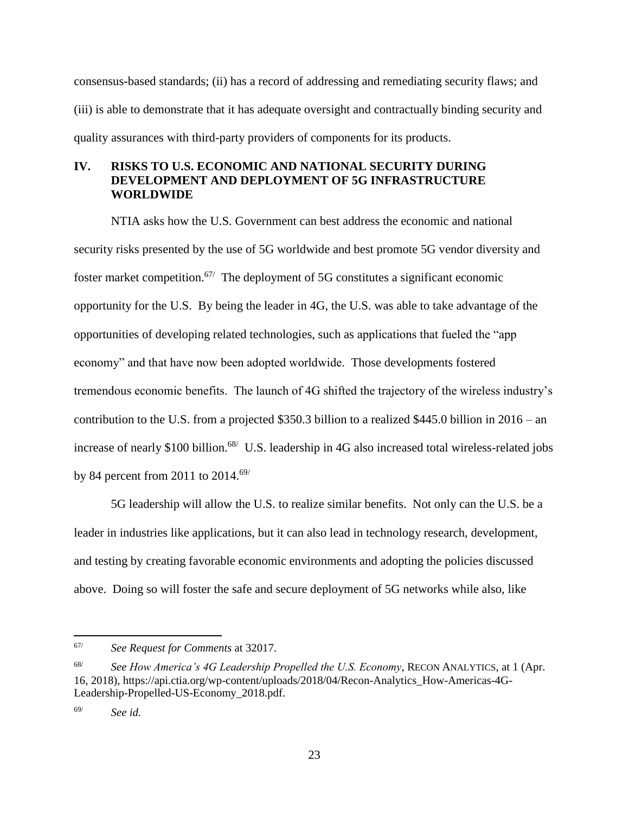consensus-based standards; (ii) has a record of addressing and remediating security flaws; and (iii) is able to demonstrate that it has adequate oversight and contractually binding security and quality assurances with third-party providers of components for its products.

## <span id="page-24-0"></span>**IV. RISKS TO U.S. ECONOMIC AND NATIONAL SECURITY DURING DEVELOPMENT AND DEPLOYMENT OF 5G INFRASTRUCTURE WORLDWIDE**

NTIA asks how the U.S. Government can best address the economic and national security risks presented by the use of 5G worldwide and best promote 5G vendor diversity and foster market competition.<sup>67/</sup> The deployment of 5G constitutes a significant economic opportunity for the U.S. By being the leader in 4G, the U.S. was able to take advantage of the opportunities of developing related technologies, such as applications that fueled the "app economy" and that have now been adopted worldwide. Those developments fostered tremendous economic benefits. The launch of 4G shifted the trajectory of the wireless industry's contribution to the U.S. from a projected \$350.3 billion to a realized \$445.0 billion in 2016 – an increase of nearly \$100 billion.<sup>68/</sup> U.S. leadership in 4G also increased total wireless-related jobs by 84 percent from 2011 to  $2014.69/$ 

5G leadership will allow the U.S. to realize similar benefits. Not only can the U.S. be a leader in industries like applications, but it can also lead in technology research, development, and testing by creating favorable economic environments and adopting the policies discussed above. Doing so will foster the safe and secure deployment of 5G networks while also, like

<sup>67/</sup> *See Request for Comments* at 32017.

<sup>68/</sup> *See How America's 4G Leadership Propelled the U.S. Economy*, RECON ANALYTICS, at 1 (Apr. 16, 2018), https://api.ctia.org/wp-content/uploads/2018/04/Recon-Analytics\_How-Americas-4G-Leadership-Propelled-US-Economy\_2018.pdf.

<sup>69/</sup> *See id.*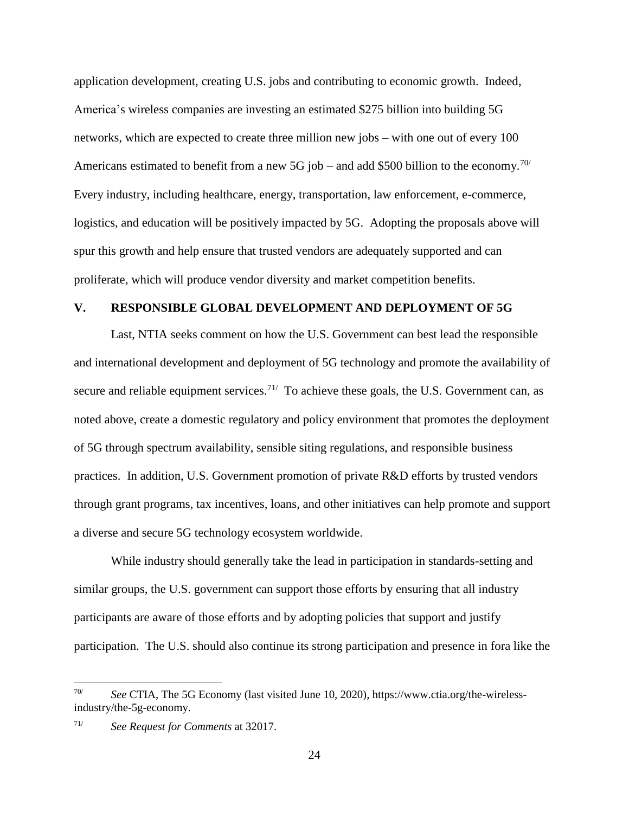application development, creating U.S. jobs and contributing to economic growth. Indeed, America's wireless companies are investing an estimated \$275 billion into building 5G networks, which are expected to create three million new jobs – with one out of every 100 Americans estimated to benefit from a new 5G job – and add \$500 billion to the economy.<sup>70/</sup> Every industry, including healthcare, energy, transportation, law enforcement, e-commerce, logistics, and education will be positively impacted by 5G. Adopting the proposals above will spur this growth and help ensure that trusted vendors are adequately supported and can proliferate, which will produce vendor diversity and market competition benefits.

## <span id="page-25-0"></span>**V. RESPONSIBLE GLOBAL DEVELOPMENT AND DEPLOYMENT OF 5G**

Last, NTIA seeks comment on how the U.S. Government can best lead the responsible and international development and deployment of 5G technology and promote the availability of secure and reliable equipment services.<sup>71/</sup> To achieve these goals, the U.S. Government can, as noted above, create a domestic regulatory and policy environment that promotes the deployment of 5G through spectrum availability, sensible siting regulations, and responsible business practices. In addition, U.S. Government promotion of private R&D efforts by trusted vendors through grant programs, tax incentives, loans, and other initiatives can help promote and support a diverse and secure 5G technology ecosystem worldwide.

While industry should generally take the lead in participation in standards-setting and similar groups, the U.S. government can support those efforts by ensuring that all industry participants are aware of those efforts and by adopting policies that support and justify participation. The U.S. should also continue its strong participation and presence in fora like the

<sup>70/</sup> *See* CTIA, The 5G Economy (last visited June 10, 2020), https://www.ctia.org/the-wirelessindustry/the-5g-economy.

<sup>71/</sup> *See Request for Comments* at 32017.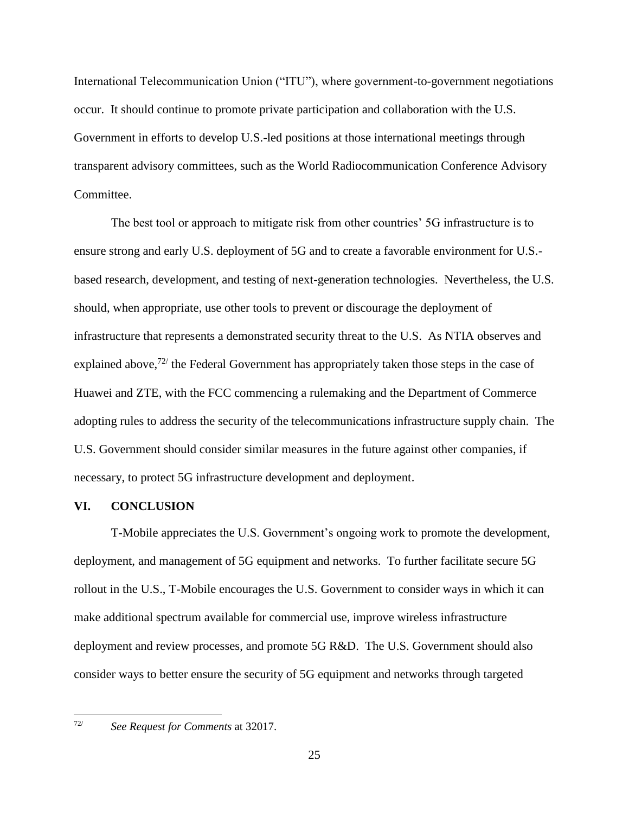International Telecommunication Union ("ITU"), where government-to-government negotiations occur. It should continue to promote private participation and collaboration with the U.S. Government in efforts to develop U.S.-led positions at those international meetings through transparent advisory committees, such as the World Radiocommunication Conference Advisory Committee.

The best tool or approach to mitigate risk from other countries' 5G infrastructure is to ensure strong and early U.S. deployment of 5G and to create a favorable environment for U.S. based research, development, and testing of next-generation technologies. Nevertheless, the U.S. should, when appropriate, use other tools to prevent or discourage the deployment of infrastructure that represents a demonstrated security threat to the U.S. As NTIA observes and explained above,  $72/$  the Federal Government has appropriately taken those steps in the case of Huawei and ZTE, with the FCC commencing a rulemaking and the Department of Commerce adopting rules to address the security of the telecommunications infrastructure supply chain. The U.S. Government should consider similar measures in the future against other companies, if necessary, to protect 5G infrastructure development and deployment.

## <span id="page-26-0"></span>**VI. CONCLUSION**

T-Mobile appreciates the U.S. Government's ongoing work to promote the development, deployment, and management of 5G equipment and networks. To further facilitate secure 5G rollout in the U.S., T-Mobile encourages the U.S. Government to consider ways in which it can make additional spectrum available for commercial use, improve wireless infrastructure deployment and review processes, and promote 5G R&D. The U.S. Government should also consider ways to better ensure the security of 5G equipment and networks through targeted

 $72/$ 

<sup>72/</sup> *See Request for Comments* at 32017.